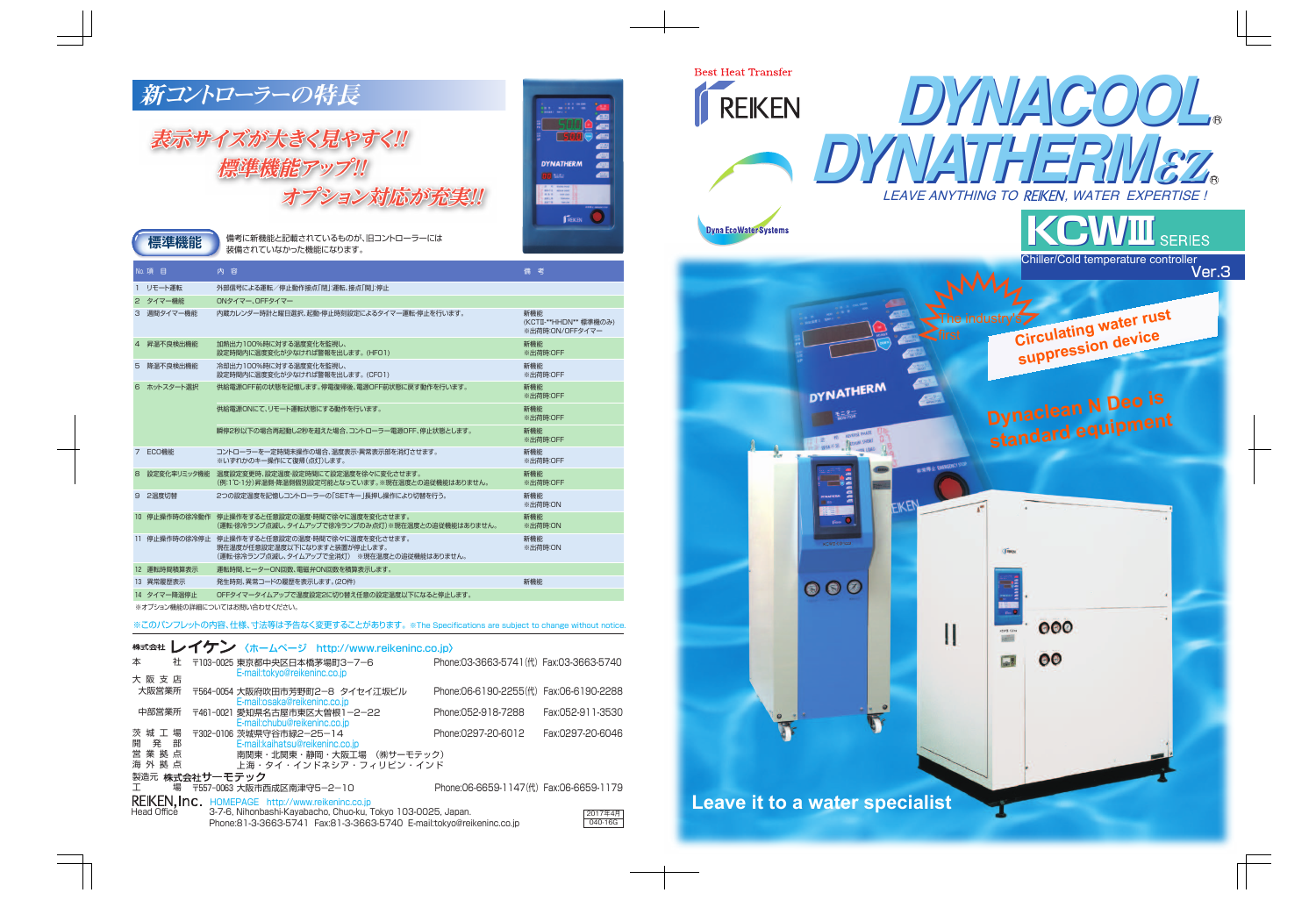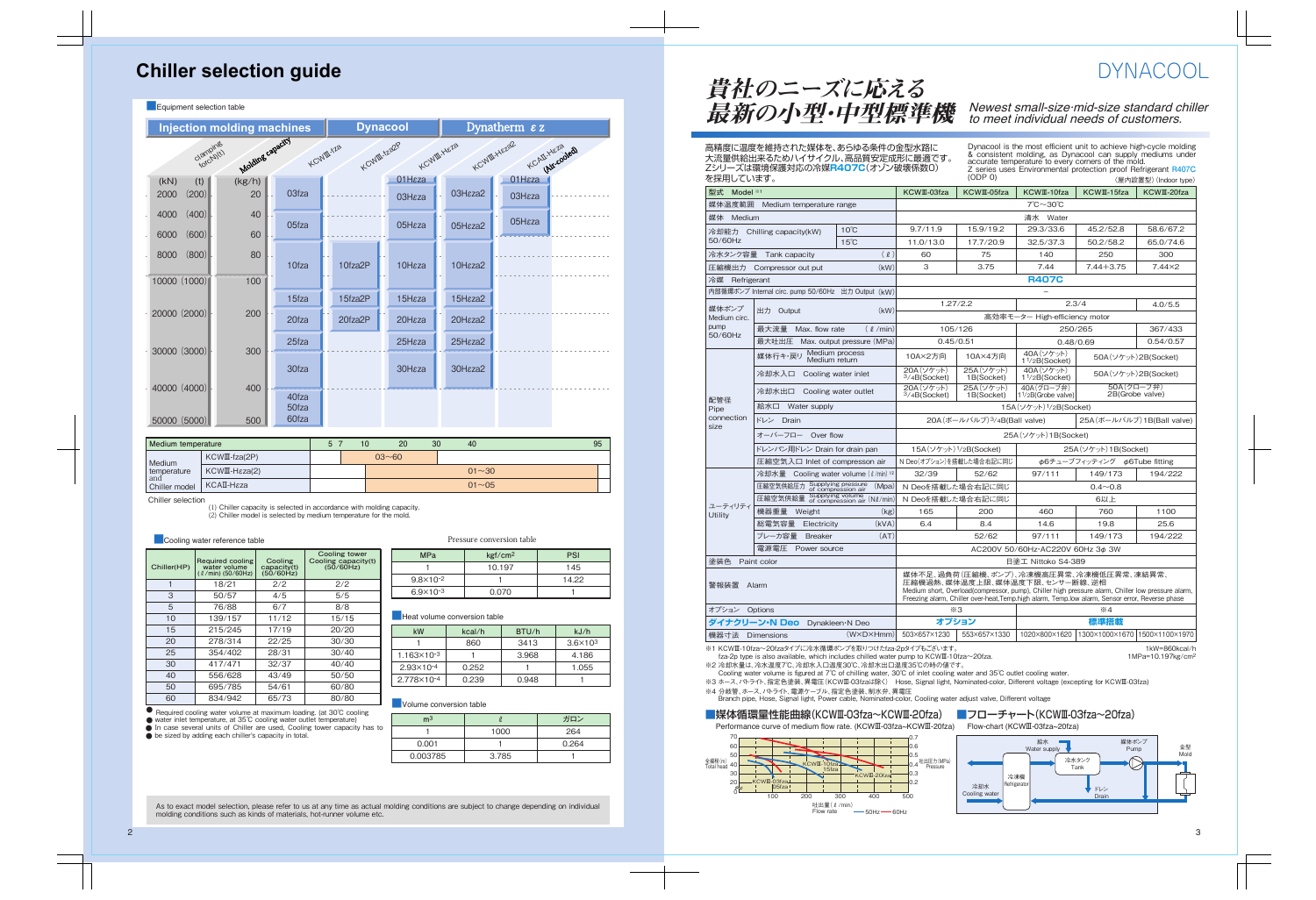### **Chiller selection guide**

| Equipment selection table                                                                              |              |                         |         |                    |                     |                        |  |
|--------------------------------------------------------------------------------------------------------|--------------|-------------------------|---------|--------------------|---------------------|------------------------|--|
| <b>Injection molding machines</b>                                                                      |              |                         |         | <b>Dynacool</b>    |                     | Dynatherm $\epsilon$ z |  |
| Molding capacity<br>KCWIII.HEZZ2<br>clamping<br>KCWIII-Yza2P<br>KCWIII.HEZ8<br>KCWIII-tza<br>KCAILHEZS |              |                         |         |                    |                     |                        |  |
| (t)<br>(kN)<br>(200)<br>2000                                                                           | (kg/h)<br>20 | 03fza                   |         | 01Hεza<br>O3Hεza   | O3H <sub>εza2</sub> | 01Hεza<br>O3Hεza       |  |
| (400)<br>4000<br>(600)<br>6000                                                                         | 40<br>60     | 05fza                   |         | 05Hεza             | O5Hεza2             | 05Hεza                 |  |
| (800)<br>8000                                                                                          | 80           | 10fza                   | 10fza2P | 10H <sub>εza</sub> | 10Hεza2             |                        |  |
| 10000 (1000)                                                                                           | 100          |                         |         |                    |                     |                        |  |
| 20000 (2000)                                                                                           | 200          | 15fza                   | 15fza2P | 15H <sub>εza</sub> | 15Hεza2             |                        |  |
|                                                                                                        |              | 20fza                   | 20fza2P | 20Hεza             | 20Hεza2             |                        |  |
| 30000 (3000)                                                                                           | 300          | 25fza                   |         | 25Hεza             | 25Hεza2             |                        |  |
|                                                                                                        |              | 30fza                   |         | 30H <sub>εza</sub> | 30Hεza2             |                        |  |
| 40000 (4000)<br>50000 (5000)                                                                           | 400<br>500   | 40fza<br>50fza<br>60fza |         |                    |                     |                        |  |
|                                                                                                        |              |                         |         |                    |                     |                        |  |

| Medium temperature   |                                       | 5 <sup>7</sup> | 10 |           | 20 | 30 | 40        | 95 |
|----------------------|---------------------------------------|----------------|----|-----------|----|----|-----------|----|
| Medium               | $KCWI\,(ZP)$                          |                |    | $03 - 60$ |    |    |           |    |
| temperature          | $KCWI\!\!\!\perp$ -H $\epsilon$ za(2) |                |    |           |    |    | $01 - 30$ |    |
| and<br>Chiller model | KCAII-Hεza                            |                |    | $01 - 05$ |    |    |           |    |

п

Chiller selection

(1) Chiller capacity is selected in accordance with molding capacity.

(2) Chiller model is selected by medium temperature for the mold.

**Cooling water reference table** 

| Chiller(HP) | Required cooling<br>water volume<br>$(\ell$ /min) (50/60Hz) | Cooling<br>capacity(t)<br>(50/60Hz) | Cooling tower<br>Cooling capacity(t)<br>(50/60Hz) |
|-------------|-------------------------------------------------------------|-------------------------------------|---------------------------------------------------|
|             | 18/21                                                       | 2/2                                 | 2/2                                               |
| 3           | 50/57                                                       | 4/5                                 | 5/5                                               |
| 5           | 76/88                                                       | 6/7                                 | 8/8                                               |
| 10          | 139/157                                                     | 11/12                               | 15/15                                             |
| 15          | 215/245                                                     | 17/19                               | 20/20                                             |
| 20          | 278/314                                                     | 22/25                               | 30/30                                             |
| 25          | 354/402                                                     | 28/31                               | 30/40                                             |
| 30          | 417/471                                                     | 32/37                               | 40/40                                             |
| 40          | 556/628                                                     | 43/49                               | 50/50                                             |
| 50          | 695/785                                                     | 54/61                               | 60/80                                             |
| 60          | 834/942                                                     | 65/73                               | 80/80                                             |

Pressure conversion table

| <b>MPa</b>           | kgf/cm <sup>2</sup> | PSI   |
|----------------------|---------------------|-------|
|                      | 10.197              | 145   |
| $9.8 \times 10^{-2}$ |                     | 14.22 |
| $6.9 \times 10^{-3}$ | 0.070               |       |

#### **Heat volume conversion table**

| kW                     | kcal/h      | BTU/h | kJ/h            |
|------------------------|-------------|-------|-----------------|
|                        | 3413<br>860 |       | $3.6\times10^3$ |
| $1.163 \times 10^{-3}$ |             | 3.968 | 4.186           |
| $2.93\times10^{-4}$    | 0.252       |       | 1.055           |
| $2.778\times10^{-4}$   | 0.239       |       |                 |

**Volume conversion table** 

| m <sup>3</sup> |       | ガロン   |
|----------------|-------|-------|
|                | 1000  | 264   |
| 0.001          |       | 0.264 |
| 0.003785       | 3.785 |       |

● Required cooling water volume at maximum loading. (at 30℃ cooling

● ● water inlet temperature, at 35℃ cooling water outlet temperature)

In case several units of Chiller are used, Cooling tower capacity has to

● be sized by adding each chiller's capacity in total.

As to exact model selection, please refer to us at any time as actual molding conditions are subject to change depending on individual molding conditions such as kinds of materials, hot-runner volume etc.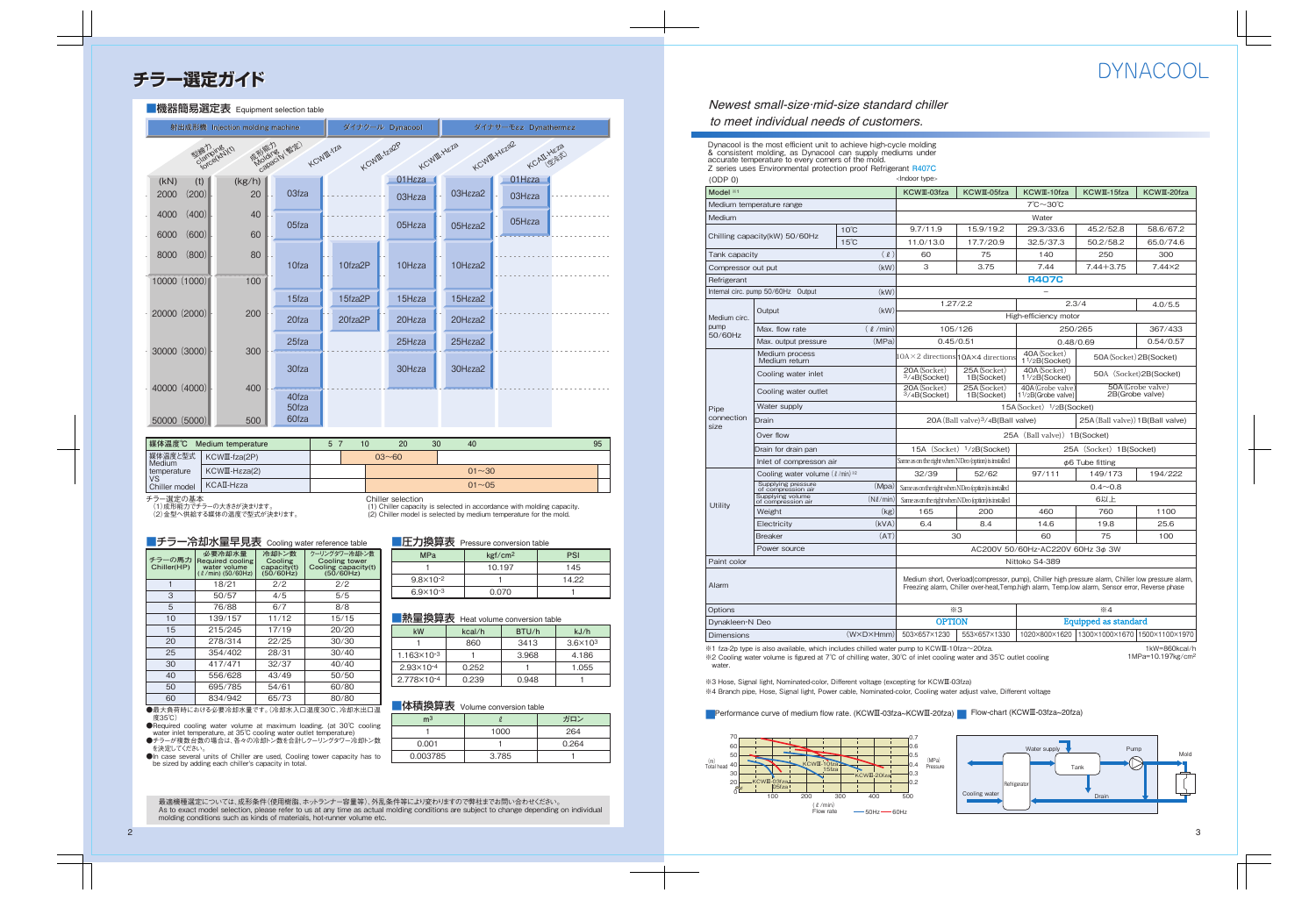### Newest small-size·mid-size standard chiller to meet individual needs of customers.

Dynacool is the most efficient unit to achieve high-cycle molding & consistent molding, as Dynacool can supply mediums under accurate temperature to every corners of the mold. Z series uses Environmental protection proof Refrigerant **R407C**

 $(ODP O)$   $**1**$  $**1**$  $**1**$  $**1**$  $**1**$  $**1**$  $**1**$  $**1**$  $**1**$  $**1**$  $**1**$  $**1**$  $**1**$  $**1**$  $**1**$  $**1**$  $**1**$  $**1**$  $**1**$  $**1**$  $**1**$  $**1**$  $**1**$  $**1**$  $**1**$ **Model ※1** Medium temperature range Chilling capacity(kW) 50/60Hz Medium Tank capacity Compressor out put **Output** Max. flow rate Max. output pressure Cooling water inlet Cooling water outlet Water supply Drain Over flow Drain for drain pan **Refrigerant** Paint color **Dimensions** Alarm **Options** Internal circ. pump 50/60Hz Output Medium circ. pump<sub>p</sub> 50/60Hz **Utility** Pipe connection size  $(\ell)$ (kW) (kW)  $(k)$  $(0/min)$  $(W \times D \times Hmm)$  503×657×1230 (MPa) Weight **Electricity** Power source (kg)  $(Nl/min)$ (Mpa) (kVA) Wate 15A (Socket) 1/2B(Socket) 15A (Socket) <sup>1</sup>/2B(Socket) | 25A (Socket) 1B(Socket) Inlet of compresson air Same as on the right when N Deo (option) is installed φ6 Tube fitting  $0.4 \sim 0.8$ 6以上 AC200V 50/60Hz・AC220V 60Hz 3φ 3W Nittoko S4-389 ※3 ※4 Dynakleen・N Deo OPTION Equipped as standard **KCWⅢ-10fza** 10℃ 15℃ **KCWⅢ-15fza** 7℃~30℃  $2.3/4$ High-efficiency motor – **KCWⅢ-20fza R407C KCWⅢ-03fza KCWⅢ-05fza** 29.3/33.6 45.2/52.8 58.6/67.2 32.5/37.3 50.2/58.2 65.0/74.6 9.7/11.9 15.9/19.2 11.0/13.0 17.7/20.9 140 250 300 97/111 149/173 194/222 460 760 1100 32/39 52/62 30 60 75 100 165 200 6.4 8.4 14.6 19.8 25.6 Breaker (AT) 503×657×1230 553×657×1330 1020×800×1620 1300×1000×1670 1500×1100×1970 7.44 7.44+3.75 7.44×2 4.0/5.5 250/265 367/433 0.48/0.69 0.54/0.57 1.27/2.2 105/126 0.45/0.51  $10A \times 2$  directions 10A $\times$ 4 direction  $254(Socket)$ 1B(Socket) 25A(Socket) 1B(Socket) 20A(Socket) 3/4B(Socket) 20A(Socket) 3/4B(Socket) 25A (Ball valve)) 1B(Socket) 20A (Ball valve)<sup>3</sup>/4B (Ball valve) 25A(Ball valve)) 1B(Ball valve) 50A(Socket)2B(Socket) 50A(Socket)2B(Socket) 50A(Grobe valve) 2B(Grobe valve) 60 75 3 3.75 Cooling water volume ( $\ell$ /min) \*2 Medium process Medium return Supplying pressure of compression air Supplying volume of compression air 40A(Socket) 11/2B(Socket) 40A(Socket) 11/2B(Socket) 40A(Grobe valve) 11/2B(Grobe valve) Medium short, Overload(compressor, pump), Chiller high pressure alarm, Chiller low pressure alarm, Freezing alarm, Chiller over-heat,Temp.high alarm, Temp.low alarm, Sensor error, Reverse phase Same as on the right when NDeo (option) is installed Same as on the right when NDeo (option) is installed

※1 fza-2p type is also available, which includes chilled water pump to KCWⅢ-10fza~20fza. ※2 Cooling water volume is figured at 7℃ of chilling water, 30℃ of inlet cooling water and 35℃ outlet cooling

1kW=860kcal/h 1MPa=10.197kg/cm2

※3 Hose, Signal light, Nominated-color, Different voltage (excepting for KCWⅢ-03fza)

water

※4 Branch pipe, Hose, Signal light, Power cable, Nominated-color, Cooling water adjust valve, Different voltage

■Performance curve of medium flow rate. (KCWII-03fza~KCWII-20fza) B Flow-chart (KCWIII-03fza~20fza)



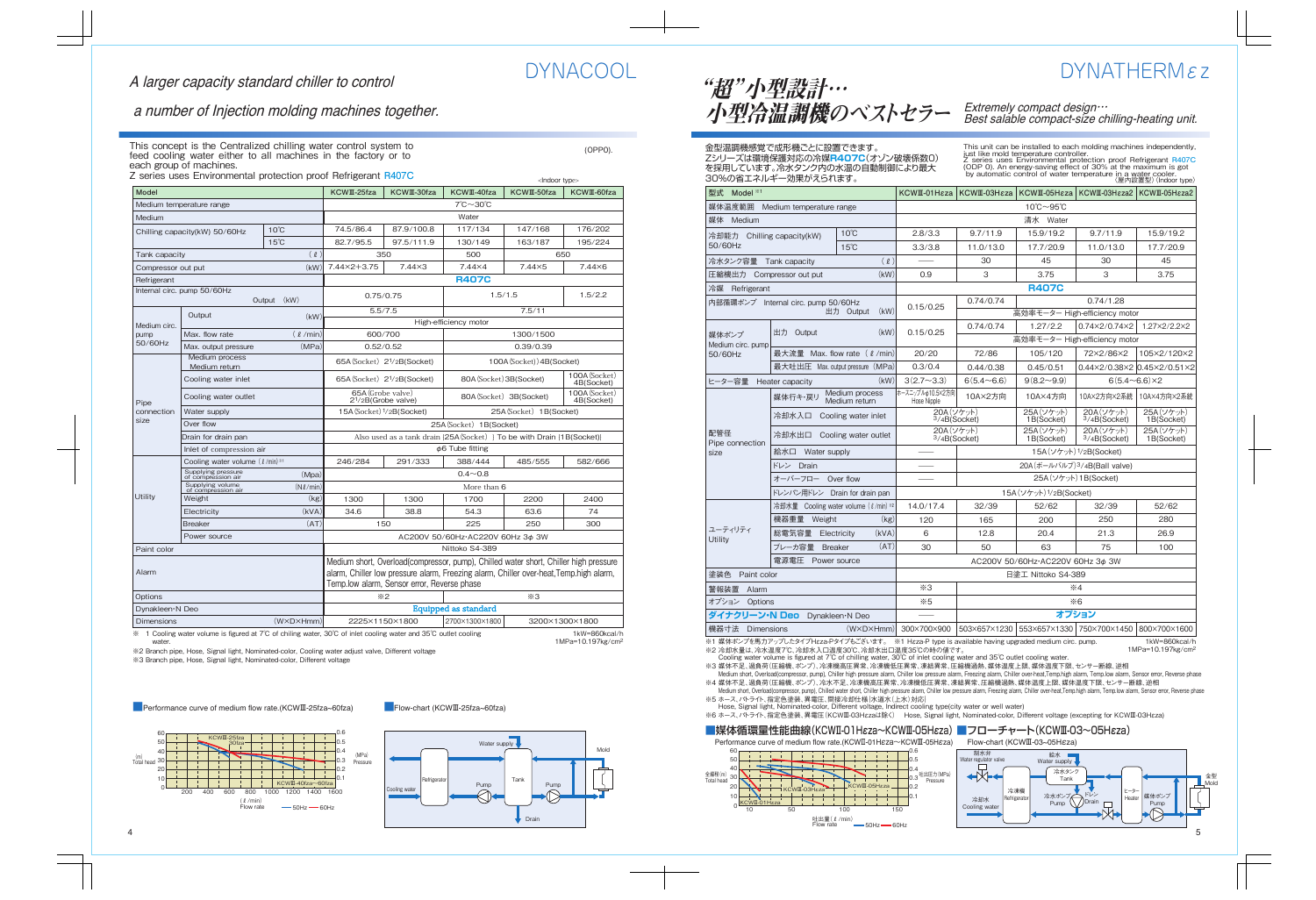

 $\mathcal{L}$ Indoor types

 $(OPP0)$ .

### a number of Injection molding machines together.

This concept is the Centralized chilling water control system to feed cooling water either to all machines in the factory or to each group of machines.

Z series uses Environmental protection proof Refrigerant **R407C**

| Model              |                                          |                           | KCWII-25fza                                                                                                                                                                                                                   | KCWII-30fza                              | KCWII-40fza                                             | KCWII-50fza               | KCWII-60fza                 |  |
|--------------------|------------------------------------------|---------------------------|-------------------------------------------------------------------------------------------------------------------------------------------------------------------------------------------------------------------------------|------------------------------------------|---------------------------------------------------------|---------------------------|-----------------------------|--|
|                    | Medium temperature range                 |                           | 7℃~30℃                                                                                                                                                                                                                        |                                          |                                                         |                           |                             |  |
| Medium             |                                          |                           |                                                                                                                                                                                                                               | Water                                    |                                                         |                           |                             |  |
|                    | Chilling capacity(kW) 50/60Hz            | $10^{\circ}$ C            | 74.5/86.4                                                                                                                                                                                                                     | 87.9/100.8                               | 117/134                                                 | 147/168                   | 176/202                     |  |
|                    |                                          | $15^{\circ}$ C            | 82.7/95.5                                                                                                                                                                                                                     | 97.5/111.9                               | 130/149                                                 | 163/187                   | 195/224                     |  |
| Tank capacity      |                                          | $(\ell)$                  |                                                                                                                                                                                                                               | 350                                      | 500                                                     |                           | 650                         |  |
| Compressor out put |                                          | (kW)                      | 7.44×2+3.75                                                                                                                                                                                                                   | $7.44\times3$                            | $7.44\times4$                                           | $7.44\times5$             | $7.44\times 6$              |  |
| Refrigerant        |                                          |                           |                                                                                                                                                                                                                               |                                          | <b>R407C</b>                                            |                           |                             |  |
|                    | Internal circ. pump 50/60Hz              | Output (kW)               |                                                                                                                                                                                                                               | 0.75/0.75                                |                                                         | 1.5/1.5                   | 1.5/2.2                     |  |
|                    | Output                                   | (kW)                      |                                                                                                                                                                                                                               | 5.5/7.5                                  |                                                         | 7.5/11                    |                             |  |
| Medium circ.       |                                          |                           |                                                                                                                                                                                                                               |                                          | High-efficiency motor                                   |                           |                             |  |
| pump<br>50/60Hz    | Max. flow rate                           | $(\ell / min)$            | 600/700                                                                                                                                                                                                                       |                                          |                                                         | 1300/1500                 |                             |  |
|                    | Max. output pressure                     | (MPa)                     |                                                                                                                                                                                                                               | 0.52/0.52                                |                                                         | 0.39/0.39                 |                             |  |
|                    | Medium process<br>Medium return          |                           |                                                                                                                                                                                                                               | 65A (Socket) 2 <sup>1</sup> /2B (Socket) |                                                         | 100A (Socket)) 4B(Socket) |                             |  |
|                    | Cooling water inlet                      |                           |                                                                                                                                                                                                                               | 65A (Socket) 2 <sup>1</sup> /2B (Socket) | 80A (Socket) 3B(Socket)                                 |                           | 100A (Socket)<br>4B(Socket) |  |
| Pipe               | Cooling water outlet                     |                           | 65A (Grobe valve)                                                                                                                                                                                                             | 2 <sup>1</sup> /2B(Grobe valve)          | 100A (Socket)<br>80A (Socket) 3B (Socket)<br>4B(Socket) |                           |                             |  |
| connection         | Water supply                             |                           | 15A (Socket) 1/2B(Socket)<br>25A (Socket) 1B (Socket)                                                                                                                                                                         |                                          |                                                         |                           |                             |  |
| size               | Over flow                                |                           | 25A (Socket) 1B(Socket)                                                                                                                                                                                                       |                                          |                                                         |                           |                             |  |
|                    | Drain for drain pan                      |                           | Also used as a tank drain {25A (Socket) } To be with Drain {1B (Socket)}                                                                                                                                                      |                                          |                                                         |                           |                             |  |
|                    | Inlet of compression air                 |                           | $\phi$ 6 Tube fitting                                                                                                                                                                                                         |                                          |                                                         |                           |                             |  |
|                    | Cooling water volume $(l / min)$ *1      |                           | 246/284                                                                                                                                                                                                                       | 291/333                                  | 388/444                                                 | 485/555                   | 582/666                     |  |
|                    | Supplying pressure<br>of compression air | (Mpa)                     | $0.4 - 0.8$                                                                                                                                                                                                                   |                                          |                                                         |                           |                             |  |
|                    | Supplying volume<br>of compression air   | $(N\ell/min)$             |                                                                                                                                                                                                                               |                                          | More than 6                                             |                           |                             |  |
| Utility            | Weight                                   | (kg)                      | 1300                                                                                                                                                                                                                          | 1300                                     | 1700                                                    | 2200                      | 2400                        |  |
|                    | Electricity                              | (kVA)                     | 34.6                                                                                                                                                                                                                          | 38.8                                     | 54.3                                                    | 63.6                      | 74                          |  |
|                    | <b>Breaker</b>                           | (AT)                      |                                                                                                                                                                                                                               | 150                                      | 225                                                     | 250                       | 300                         |  |
|                    | Power source                             |                           |                                                                                                                                                                                                                               |                                          | AC200V 50/60Hz·AC220V 60Hz 3¢ 3W                        |                           |                             |  |
| Paint color        |                                          |                           | Nittoko S4-389                                                                                                                                                                                                                |                                          |                                                         |                           |                             |  |
| Alarm              |                                          |                           | Medium short, Overload(compressor, pump), Chilled water short, Chiller high pressure<br>alarm, Chiller low pressure alarm, Freezing alarm, Chiller over-heat, Temp.high alarm,<br>Temp.low alarm, Sensor error, Reverse phase |                                          |                                                         |                           |                             |  |
| Options            |                                          |                           |                                                                                                                                                                                                                               | $*2$                                     |                                                         | $*3$                      |                             |  |
| Dynakleen N Deo    |                                          |                           | Equipped as standard                                                                                                                                                                                                          |                                          |                                                         |                           |                             |  |
| <b>Dimensions</b>  |                                          | $(W \times D \times Hmm)$ |                                                                                                                                                                                                                               | 2225×1150×1800                           | 2700×1300×1800                                          |                           | 3200×1300×1800              |  |
|                    |                                          |                           | 1. Cooling water volume is figured at $7^\circ$ C of obiling water $30^\circ$ C of inlet cooling water and $35^\circ$ C outlet cooling<br>$1$ <sub>k</sub> $M = 860$ koal/h                                                   |                                          |                                                         |                           |                             |  |

※ 1 Cooling water volume is figured at 7℃ of chiling water, 30℃ of inlet cooling water and 35℃ outlet cooling water.

1kW=860kcal/h 1MPa=10.197kg/cm2

※2 Branch pipe, Hose, Signal light, Nominated-color, Cooling water adjust valve, Different voltage ※3 Branch pipe, Hose, Signal light, Nominated-color, Different voltage

■Performance curve of medium flow rate.(KCWⅢ-25fza~60fza) ■Flow-chart (KCWⅢ-25fza~60fza)



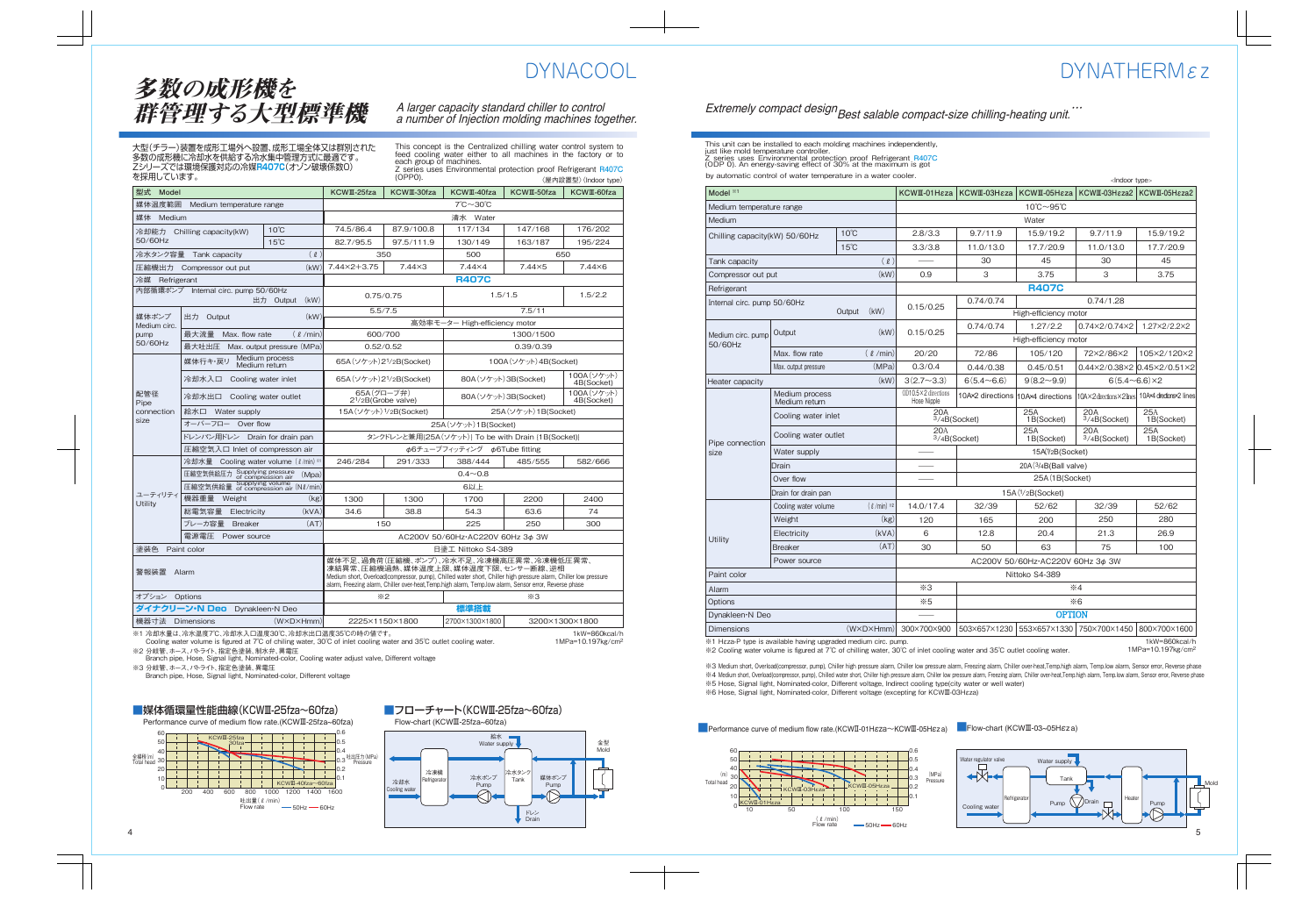### $DYNATHFRMez$

### Extremely compact design Best salable compact-size chilling-heating unit.<sup>…</sup>

This unit can be installed to each molding machines independently, just like mold temperature controller. Z series uses Environmental protection proof Refrigerant **R407C** (ODP 0). An energy-saving effect of 30% at the maximum is got by automatic control of water temperature in a water cooler.

|                               |                                 |                  |                                    |                                       |                                  | <lndoor type=""></lndoor>              |                             |  |
|-------------------------------|---------------------------------|------------------|------------------------------------|---------------------------------------|----------------------------------|----------------------------------------|-----------------------------|--|
| Model *1                      |                                 |                  | KCWII-01H <sub>EZ</sub> a          | KCWII-03H <sub>EZa</sub>              | KCWII-05H <sub>εza</sub>         | KCWII-03H <sub>EZa2</sub>              | KCWII-05H <sub>EZa2</sub>   |  |
| Medium temperature range      |                                 |                  |                                    | $10^{\circ}$ C $\sim$ 95 $^{\circ}$ C |                                  |                                        |                             |  |
| Medium                        |                                 |                  |                                    |                                       | Water                            |                                        |                             |  |
| Chilling capacity(kW) 50/60Hz |                                 | $10^{\circ}$ C   | 2.8/3.3                            | 9.7/11.9                              | 15.9/19.2                        | 9.7/11.9                               | 15.9/19.2                   |  |
|                               |                                 | $15^{\circ}$ C   | 3.3/3.8                            | 11.0/13.0                             | 17.7/20.9                        | 11.0/13.0                              | 17.7/20.9                   |  |
| Tank capacity                 |                                 | (2)              |                                    | 30                                    | 45                               | 30                                     | 45                          |  |
| Compressor out put            |                                 | (kW)             | 0.9                                | 3                                     | 3.75                             | 3                                      | 3.75                        |  |
| Refrigerant                   |                                 |                  |                                    |                                       | <b>R407C</b>                     |                                        |                             |  |
| Internal circ. pump 50/60Hz   |                                 |                  | 0.15/0.25                          | 0.74/0.74                             |                                  | 0.74/1.28                              |                             |  |
|                               |                                 | (kW)<br>Output   |                                    |                                       | High-efficiency motor            |                                        |                             |  |
|                               | Output                          | (kW)             | 0.15/0.25                          | 0.74/0.74                             | 1.27/2.2                         | 0.74×2/0.74×2                          | 1.27×2/2.2×2                |  |
| Medium circ. pump<br>50/60Hz  |                                 |                  |                                    |                                       | High-efficiency motor            |                                        |                             |  |
|                               | Max. flow rate                  | $(\ell / min)$   | 20/20                              | 72/86                                 | 105/120                          | 72×2/86×2                              | 105×2/120×2                 |  |
|                               | Max. output pressure            | (MPa)            | 0.3/0.4                            | 0.44/0.38                             | 0.45/0.51                        |                                        | 0.44×2/0.38×2 0.45×2/0.51×2 |  |
| Heater capacity               |                                 | (kW)             | $3(2.7\sim3.3)$                    | $6(5.4\sim6.6)$                       | $9(8.2\sim9.9)$                  | $6(5.4 \sim 6.6) \times 2$             |                             |  |
|                               | Medium process<br>Medium return |                  | OD10.5×2 directions<br>Hose Nipple | 10A×2 directions 10A×4 directions     |                                  | 10A×2 directions×2 lines               | 10A×4 directions×2 lines    |  |
|                               | Cooling water inlet             |                  | 20A                                | 3/4B(Sockets)                         | 25A<br>1B(Socket)                | <b>20A</b><br>3/4B(Socket)             | <b>25A</b><br>1B(Socket)    |  |
| Pipe connection               | Cooling water outlet            |                  | 20A<br>3/4B(Socket)                |                                       | 25A<br>1B(Socket)                | 20A<br>3/4B(Socket)                    | 25A<br>1B(Socket)           |  |
| size                          | Water supply                    |                  |                                    | 15A(1/2B(Socket)                      |                                  |                                        |                             |  |
|                               | Drain                           |                  |                                    | 20A(3/4B(Ball value))                 |                                  |                                        |                             |  |
|                               | Over flow                       |                  |                                    | 25A (1B(Socket)                       |                                  |                                        |                             |  |
|                               | Drain for drain pan             |                  | $15A$ ( $1/2B$ (Socket)            |                                       |                                  |                                        |                             |  |
|                               | Cooling water volume            | $(\ell$ /min) *2 | 14.0/17.4                          | 32/39                                 | 52/62                            | 32/39                                  | 52/62                       |  |
|                               | Weight                          | (kg)             | 120                                | 165                                   | 200                              | 250                                    | 280                         |  |
| Utility                       | Electricity                     | (kVA)            | 6                                  | 12.8                                  | 20.4                             | 21.3                                   | 26.9                        |  |
|                               | <b>Breaker</b>                  | (AT)             | 30                                 | 50                                    | 63                               | 75                                     | 100                         |  |
|                               | Power source                    |                  |                                    |                                       | AC200V 50/60Hz·AC220V 60Hz 3¢ 3W |                                        |                             |  |
| Paint color                   |                                 |                  |                                    | Nittoko S4-389                        |                                  |                                        |                             |  |
| Alarm                         |                                 |                  | $*3$                               | $*4$                                  |                                  |                                        |                             |  |
| Options                       |                                 |                  | $*5$                               | $*6$                                  |                                  |                                        |                             |  |
| Dynakleen <sup>-</sup> N Deo  |                                 |                  |                                    |                                       | <b>OPTION</b>                    |                                        |                             |  |
| <b>Dimensions</b>             |                                 | (W×D×Hmm)        | 300×700×900                        | 503×657×1230                          |                                  | 553×657×1330 750×700×1450 800×700×1600 |                             |  |

※1 Hεza-P type is available having upgraded medium circ. pump.

※2 Cooling water volume is figured at 7℃ of chilling water, 30℃ of inlet cooling water and 35℃ outlet cooling water.

1kW=860kcal/h 1MPa=10.197kg/cm2

%3 Medium short, Overload(compressor, pump), Chiller high pressure alarm, Chiller low pressure alarm, Freezing alarm, Chiller over-heat,Temp.high alarm, Temp.low alarm, Sensor error, Reverse phase ※4 Medium short, Overload(compressor, pump), Chilled water short, Chiller high pressure alarm, Chiller low pressure alarm, Freezing alarm, Chiller over-heat,Temp.high alarm, Temp.low alarm, Sensor error, Reverse phase ※5 Hose, Signal light, Nominated-color, Different voltage, Indirect cooling type(city water or well water)

※6 Hose, Signal light, Nominated-color, Different voltage (excepting for KCWⅢ-03Hεza)



■Performance curve of medium flow rate.(KCWⅡ-01Hεza~KCWⅢ-05Hεza) ■Flow-chart (KCWⅢ-03~05Hεza)

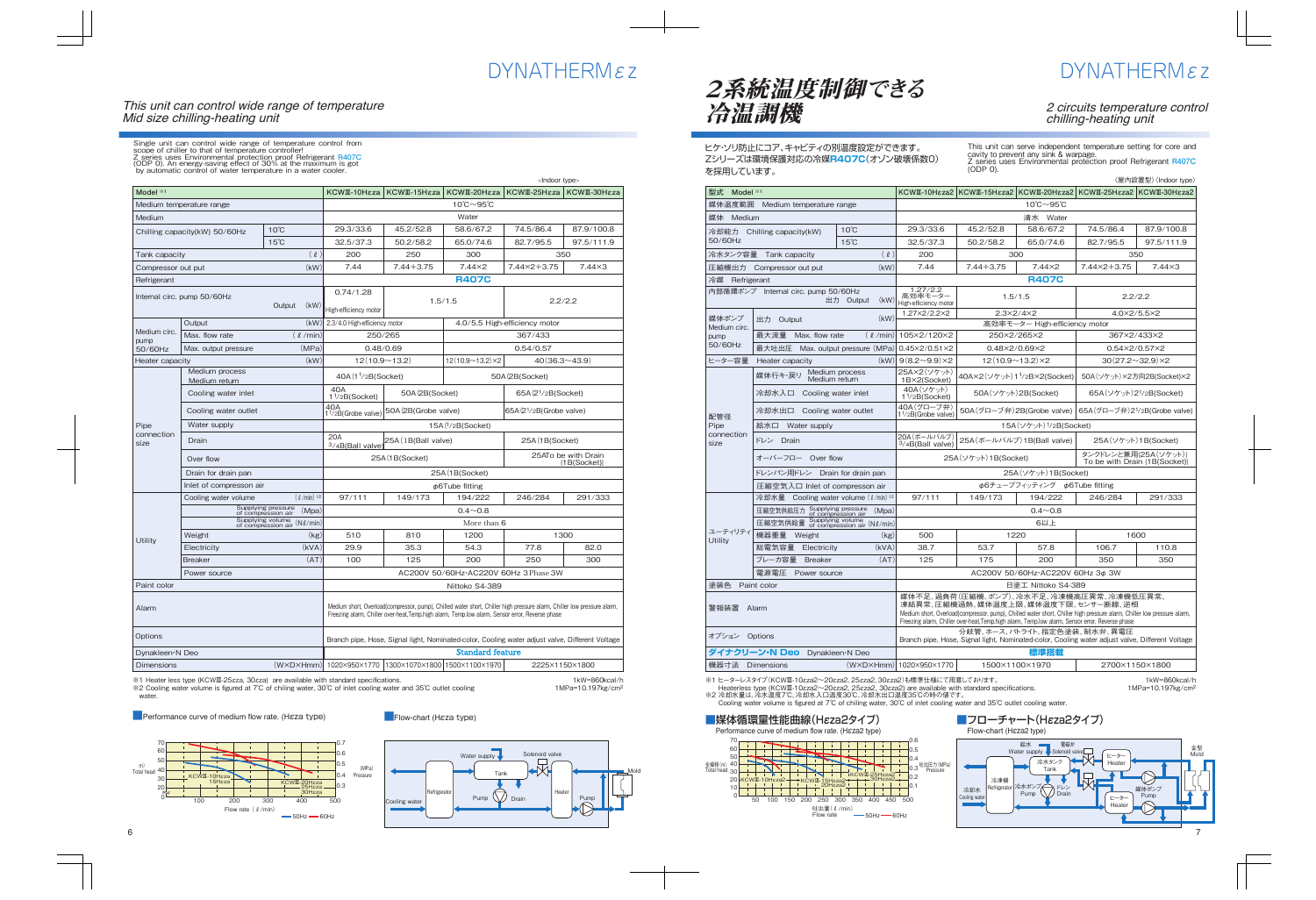#### This unit can control wide range of temperature Mid size chilling-heating unit

Single unit can control wide range of temperature control from<br>scope of chiller to that of temperature controller!<br>Z series uses Environmental protection proof Refrigerant R407C<br>(ODP 0). An energy-saving effect of 30% at t

|                      |                                 |                                                   |                                                                                                                                                                                                                            |                       |                                                       | <lndoor type=""></lndoor>            |                                        |
|----------------------|---------------------------------|---------------------------------------------------|----------------------------------------------------------------------------------------------------------------------------------------------------------------------------------------------------------------------------|-----------------------|-------------------------------------------------------|--------------------------------------|----------------------------------------|
| Model **1            |                                 |                                                   | KCWII-10Hεza                                                                                                                                                                                                               | KCWII-15Hεza          | KCWII-20Hεza                                          | KCWII-25Hεza                         | KCWII-30Hεza                           |
|                      | Medium temperature range        |                                                   |                                                                                                                                                                                                                            |                       | $10^{\circ}$ C $\sim$ 95 $^{\circ}$ C                 |                                      |                                        |
| Medium               |                                 |                                                   |                                                                                                                                                                                                                            |                       | Water                                                 |                                      |                                        |
|                      | Chilling capacity(kW) 50/60Hz   | $10^{\circ}$ C                                    | 29.3/33.6                                                                                                                                                                                                                  | 45.2/52.8             | 58.6/67.2                                             | 74.5/86.4                            | 87.9/100.8                             |
|                      |                                 | $15^{\circ}$ C                                    | 32.5/37.3                                                                                                                                                                                                                  | 50.2/58.2             | 65.0/74.6                                             | 82.7/95.5                            | 97.5/111.9                             |
| Tank capacity        |                                 | $(\ell)$                                          | 200                                                                                                                                                                                                                        | 250                   | 300                                                   | 350                                  |                                        |
| Compressor out put   |                                 | (kW)                                              | 7.44                                                                                                                                                                                                                       | $7.44 + 3.75$         | $7.44\times2$                                         | 7.44×2+3.75                          | $7.44\times3$                          |
| Refrigerant          |                                 |                                                   |                                                                                                                                                                                                                            |                       | <b>R407C</b>                                          |                                      |                                        |
|                      | Internal circ. pump 50/60Hz     | Output<br>(kW)                                    | 0.74/1.28<br>High-efficiency motor                                                                                                                                                                                         |                       | 1.5/1.5                                               | 2.2/2.2                              |                                        |
|                      | Output                          | (kW)                                              | 2.3/4.0 High-efficiency motor                                                                                                                                                                                              |                       |                                                       | 4.0/5.5 High-efficiency motor        |                                        |
| Medium circ.<br>pump | Max. flow rate                  | $(\ell / min)$                                    | 250/265                                                                                                                                                                                                                    |                       |                                                       | 367/433                              |                                        |
| 50/60Hz              | Max. output pressure            | (MPa)                                             | 0.48/0.69                                                                                                                                                                                                                  |                       |                                                       | 0.54/0.57                            |                                        |
| Heater capacity      |                                 | (kW)                                              | $12(10.9 - 13.2)$                                                                                                                                                                                                          |                       | $12(10.9 \sim 13.2) \times 2$                         | $40(36.3 \sim 43.9)$                 |                                        |
|                      | Medium process<br>Medium return |                                                   | 40A (11/2B (Socket)                                                                                                                                                                                                        |                       |                                                       | 50A (2B(Socket)                      |                                        |
|                      | Cooling water inlet             |                                                   | 40A<br>1 <sup>1</sup> /2B(Sockets)                                                                                                                                                                                         | 50A (2B(Socket)       |                                                       | 65A (2 <sup>1</sup> /2B(Socket)      |                                        |
|                      | Cooling water outlet            |                                                   | 40A<br>1 <sup>1</sup> /2B(Grobe valve)                                                                                                                                                                                     | 50A (2B (Grobe valve) |                                                       | 65A(2 <sup>1</sup> /2B(Grobe value)) |                                        |
| Pipe                 | Water supply                    |                                                   | 15A(1/2B(Socket))                                                                                                                                                                                                          |                       |                                                       |                                      |                                        |
| connection<br>size   | Drain                           |                                                   | <b>20A</b><br>3/4B(Ball valve)                                                                                                                                                                                             | 25A (1B(Ball valve)   |                                                       | 25A (1B(Socket)                      |                                        |
|                      | Over flow                       |                                                   | 25A (1B(Socket)                                                                                                                                                                                                            |                       |                                                       |                                      | 25ATo be with Drain<br>${1B(Sockets)}$ |
|                      | Drain for drain pan             |                                                   | 25A (1B(Socket)                                                                                                                                                                                                            |                       |                                                       |                                      |                                        |
|                      | Inlet of compresson air         |                                                   | $\phi$ 6Tube fitting                                                                                                                                                                                                       |                       |                                                       |                                      |                                        |
|                      | Cooling water volume            | $(\ell / min)$ *2                                 | 97/111                                                                                                                                                                                                                     | 149/173               | 194/222                                               | 246/284                              | 291/333                                |
|                      |                                 | Supplying pressure<br>of compression air<br>(Mpa) | $0.4 - 0.8$                                                                                                                                                                                                                |                       |                                                       |                                      |                                        |
|                      |                                 | Supplying volume<br>of compression air (Nl/min)   | More than 6                                                                                                                                                                                                                |                       |                                                       |                                      |                                        |
| Utility              | Weight                          | (kg)                                              | 510                                                                                                                                                                                                                        | 810                   | 1200                                                  | 1300                                 |                                        |
|                      | Electricity                     | (kVA)                                             | 29.9                                                                                                                                                                                                                       | 35.3                  | 54.3                                                  | 77.8                                 | 82.0                                   |
|                      | <b>Breaker</b>                  | (AT)                                              | 100                                                                                                                                                                                                                        | 125                   | 200                                                   | 250                                  | 300                                    |
|                      | Power source                    |                                                   | AC200V 50/60Hz·AC220V 60Hz 3 Phase 3W                                                                                                                                                                                      |                       |                                                       |                                      |                                        |
| Paint color          |                                 |                                                   | Nittoko S4-389                                                                                                                                                                                                             |                       |                                                       |                                      |                                        |
| Alarm                |                                 |                                                   | Medium short, Overload(compressor, pump), Chilled water short, Chiller high pressure alarm, Chiller low pressure alarm,<br>Freezing alarm, Chiller over-heat, Temp.high alarm, Temp.low alarm, Sensor error, Reverse phase |                       |                                                       |                                      |                                        |
| Options              |                                 |                                                   | Branch pipe, Hose, Signal light, Nominated-color, Cooling water adjust valve, Different Voltage                                                                                                                            |                       |                                                       |                                      |                                        |
| Dynakleen N Deo      |                                 |                                                   |                                                                                                                                                                                                                            |                       | <b>Standard feature</b>                               |                                      |                                        |
| <b>Dimensions</b>    |                                 |                                                   |                                                                                                                                                                                                                            |                       | (WXDXHmm) 1020X950X1770 1300X1070X1800 1500X1100X1970 | 2225×1150×1800                       |                                        |

※1 Heater less type (KCWⅢ-25εza, 30εza) are available with standard specifications.

※2 Cooling water volume is figured at 7℃ of chiling water, 30℃ of inlet cooling water and 35℃ outlet cooling water.

1kW=860kcal/h 1MPa=10.197kg/cm2

**B** Performance curve of medium flow rate. (H*EZa type*) **Example 2** Flow-chart (H*EZa type*)



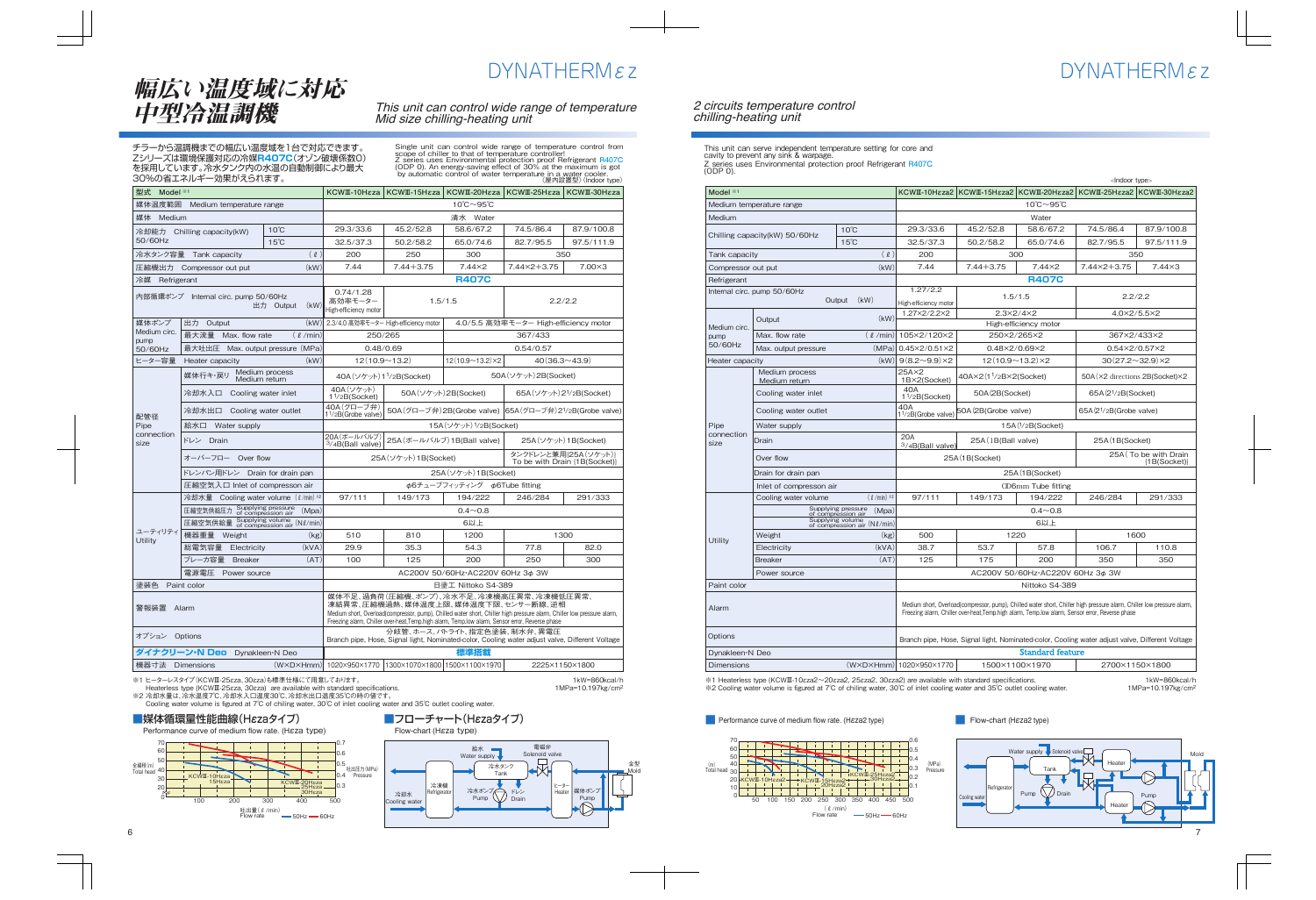#### 2 circuits temperature control chilling-heating unit

This unit can serve independent temperature setting for core and cavity to prevent any sink & warpage. Z series uses Environmental protection proof Refrigerant **R407C** (ODP 0).

|                               |                                 |                                                   |                                                                                                                                                                                                                            |                       |                                       | <lndoor type=""></lndoor>                                     |               |  |
|-------------------------------|---------------------------------|---------------------------------------------------|----------------------------------------------------------------------------------------------------------------------------------------------------------------------------------------------------------------------------|-----------------------|---------------------------------------|---------------------------------------------------------------|---------------|--|
| Model *1                      |                                 |                                                   | KCWII-10H <sub>EZa2</sub>                                                                                                                                                                                                  |                       |                                       | KCWII-15Hɛza2   KCWII-20Hɛza2   KCWII-25Hɛza2   KCWII-30Hɛza2 |               |  |
|                               | Medium temperature range        |                                                   |                                                                                                                                                                                                                            |                       | $10^{\circ}$ C $\sim$ 95 $^{\circ}$ C |                                                               |               |  |
| Medium                        |                                 |                                                   |                                                                                                                                                                                                                            | Water                 |                                       |                                                               |               |  |
| Chilling capacity(kW) 50/60Hz |                                 | $10^{\circ}$ C                                    | 29.3/33.6                                                                                                                                                                                                                  | 45.2/52.8             | 58.6/67.2                             | 74.5/86.4                                                     | 87.9/100.8    |  |
|                               |                                 | $15^{\circ}$ C                                    | 32.5/37.3                                                                                                                                                                                                                  | 50.2/58.2             | 65.0/74.6                             | 82.7/95.5                                                     | 97.5/111.9    |  |
| Tank capacity                 |                                 | $(\ell)$                                          | 200                                                                                                                                                                                                                        |                       | 300                                   | 350                                                           |               |  |
| Compressor out put            |                                 | (kW)                                              | 7.44                                                                                                                                                                                                                       | $7.44 + 3.75$         | $7.44\times2$                         | 7.44×2+3.75                                                   | $7.44\times3$ |  |
| Refrigerant                   |                                 |                                                   |                                                                                                                                                                                                                            |                       | <b>R407C</b>                          |                                                               |               |  |
|                               | Internal circ. pump 50/60Hz     |                                                   | 1.27/2.2                                                                                                                                                                                                                   | 1.5/1.5               |                                       | 2.2/2.2                                                       |               |  |
|                               |                                 | (kW)<br>Output                                    | High-efficiency motor                                                                                                                                                                                                      |                       |                                       |                                                               |               |  |
|                               | Output                          | (kW)                                              | 1.27×2/2.2×2                                                                                                                                                                                                               |                       | $2.3\times2/4\times2$                 | 4.0×2/5.5×2                                                   |               |  |
| Medium circ.                  |                                 |                                                   |                                                                                                                                                                                                                            |                       | High-efficiency motor                 |                                                               |               |  |
| pump<br>50/60Hz               | Max. flow rate                  |                                                   | $(\ell / min)$ 105×2/120×2                                                                                                                                                                                                 | 250×2/265×2           |                                       | 367×2/433×2                                                   |               |  |
|                               | Max. output pressure            |                                                   | $(MPa)$ 0.45 $\times$ 2/0.51 $\times$ 2                                                                                                                                                                                    |                       | 0.48×2/0.69×2                         | $0.54 \times 2 / 0.57 \times 2$                               |               |  |
| Heater capacity               |                                 | (kW)                                              | $9(8.2\sim9.9)\times2$                                                                                                                                                                                                     |                       | $12(10.9 \sim 13.2) \times 2$         | $30(27.2 \sim 32.9) \times 2$                                 |               |  |
|                               | Medium process<br>Medium return |                                                   | $25A\times2$<br>1B×2(Socket)                                                                                                                                                                                               | 40A×2(11/2B×2(Socket) |                                       | 50A (×2 directions 2B(Socket)×2                               |               |  |
|                               | Cooling water inlet             |                                                   | 40A<br>1 <sup>1</sup> /2B(Socket)                                                                                                                                                                                          | 50A (2B(Socket)       |                                       | 65A (2 <sup>1</sup> /2B(Socket)                               |               |  |
|                               | Cooling water outlet            |                                                   | 40A<br>1 <sup>1</sup> /2B(Grobe valve)                                                                                                                                                                                     | 50A (2B(Grobe valve)  |                                       | 65A (2 <sup>1</sup> /2B (Grobe valve)                         |               |  |
| Pipe                          | Water supply                    |                                                   |                                                                                                                                                                                                                            |                       | 15A(1/2B(Socket))                     |                                                               |               |  |
| connection<br>size            | Drain                           |                                                   | <b>20A</b><br>3/4B(Ball valve                                                                                                                                                                                              | 25A(1B(Ball value))   |                                       | 25A (1B(Socket)                                               |               |  |
|                               | Over flow                       |                                                   |                                                                                                                                                                                                                            | 25A (1B(Socket)       |                                       | 25A (To be with Drain<br>${1B(Sockets)}$                      |               |  |
|                               | Drain for drain pan             |                                                   | 25A (1B(Socket)                                                                                                                                                                                                            |                       |                                       |                                                               |               |  |
|                               | Inlet of compresson air         |                                                   | OD6mm Tube fitting                                                                                                                                                                                                         |                       |                                       |                                                               |               |  |
|                               | Cooling water volume            | $(\ell$ /min) *2                                  | 97/111                                                                                                                                                                                                                     | 149/173               | 194/222                               | 246/284                                                       | 291/333       |  |
|                               |                                 | Supplying pressure<br>of compression air<br>(Mpa) | $0.4 \sim 0.8$                                                                                                                                                                                                             |                       |                                       |                                                               |               |  |
|                               |                                 | Supplying volume<br>of compression air (N&/min)   | 6以上                                                                                                                                                                                                                        |                       |                                       |                                                               |               |  |
| Utility                       | Weight                          | (kg)                                              | 500                                                                                                                                                                                                                        |                       | 1220                                  | 1600                                                          |               |  |
|                               | Electricity                     | (kVA)                                             | 38.7                                                                                                                                                                                                                       | 53.7                  | 57.8                                  | 106.7                                                         | 110.8         |  |
|                               | <b>Breaker</b>                  | (AT)                                              | 125                                                                                                                                                                                                                        | 175                   | 200                                   | 350                                                           | 350           |  |
|                               | Power source                    |                                                   | AC200V 50/60Hz·AC220V 60Hz 3¢ 3W                                                                                                                                                                                           |                       |                                       |                                                               |               |  |
| Paint color                   |                                 |                                                   | Nittoko S4-389                                                                                                                                                                                                             |                       |                                       |                                                               |               |  |
| Alarm                         |                                 |                                                   | Medium short, Overload(compressor, pump), Chilled water short, Chiller high pressure alarm, Chiller low pressure alarm,<br>Freezing alarm, Chiller over-heat, Temp.high alarm, Temp.low alarm, Sensor error, Reverse phase |                       |                                       |                                                               |               |  |
| Options                       |                                 |                                                   | Branch pipe, Hose, Signal light, Nominated-color, Cooling water adjust valve, Different Voltage                                                                                                                            |                       |                                       |                                                               |               |  |
| Dynakleen N Deo               |                                 |                                                   |                                                                                                                                                                                                                            |                       | <b>Standard feature</b>               |                                                               |               |  |
| <b>Dimensions</b>             |                                 |                                                   | (WXDXHmm) 1020×950×1770                                                                                                                                                                                                    |                       | 1500×1100×1970                        | 2700×1150×1800                                                |               |  |

※1 Heaterless type (KCWⅢ-10εza2~20εza2, 25εza2, 30εza2) are available with standard specifications. ※2 Cooling water volume is figured at 7℃ of chiling water, 30℃ of inlet cooling water and 35℃ outlet cooling water.

1kW=860kcal/h 1MPa=10.197kg/cm2